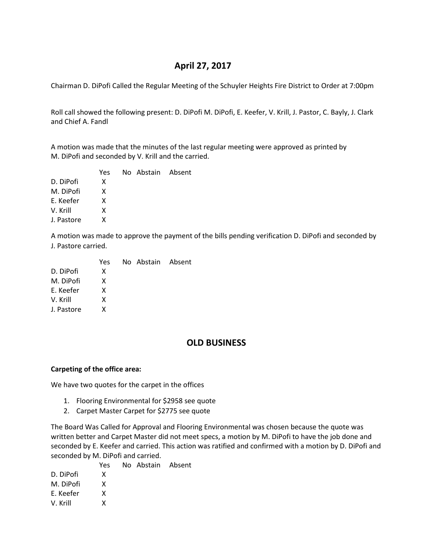# **April 27, 2017**

Chairman D. DiPofi Called the Regular Meeting of the Schuyler Heights Fire District to Order at 7:00pm

Roll call showed the following present: D. DiPofi M. DiPofi, E. Keefer, V. Krill, J. Pastor, C. Bayly, J. Clark and Chief A. Fandl

A motion was made that the minutes of the last regular meeting were approved as printed by M. DiPofi and seconded by V. Krill and the carried.

|            | Yes | No Abstain Absent |  |
|------------|-----|-------------------|--|
| D. DiPofi  | x   |                   |  |
| M. DiPofi  | x   |                   |  |
| E. Keefer  | x   |                   |  |
| V. Krill   | x   |                   |  |
| J. Pastore | x   |                   |  |
|            |     |                   |  |

A motion was made to approve the payment of the bills pending verification D. DiPofi and seconded by J. Pastore carried.

|            | Yes | No Abstain Absent |  |
|------------|-----|-------------------|--|
| D. DiPofi  | x   |                   |  |
| M. DiPofi  | x   |                   |  |
| E. Keefer  | x   |                   |  |
| V. Krill   | x   |                   |  |
| J. Pastore | x   |                   |  |
|            |     |                   |  |

# **OLD BUSINESS**

### **Carpeting of the office area:**

We have two quotes for the carpet in the offices

- 1. Flooring Environmental for \$2958 see quote
- 2. Carpet Master Carpet for \$2775 see quote

The Board Was Called for Approval and Flooring Environmental was chosen because the quote was written better and Carpet Master did not meet specs, a motion by M. DiPofi to have the job done and seconded by E. Keefer and carried. This action was ratified and confirmed with a motion by D. DiPofi and seconded by M. DiPofi and carried.

Yes No Abstain Absent

D. DiPofi X M. DiPofi X E. Keefer X V. Krill X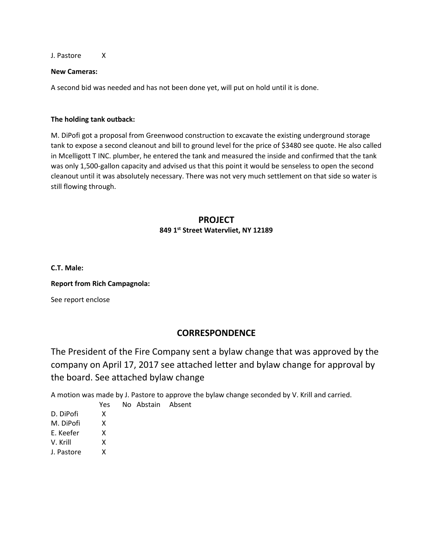J. Pastore X

### **New Cameras:**

A second bid was needed and has not been done yet, will put on hold until it is done.

### **The holding tank outback:**

M. DiPofi got a proposal from Greenwood construction to excavate the existing underground storage tank to expose a second cleanout and bill to ground level for the price of \$3480 see quote. He also called in Mcelligott T INC. plumber, he entered the tank and measured the inside and confirmed that the tank was only 1,500-gallon capacity and advised us that this point it would be senseless to open the second cleanout until it was absolutely necessary. There was not very much settlement on that side so water is still flowing through.

## **PROJECT 849 1st Street Watervliet, NY 12189**

**C.T. Male:**

### **Report from Rich Campagnola:**

See report enclose

## **CORRESPONDENCE**

The President of the Fire Company sent a bylaw change that was approved by the company on April 17, 2017 see attached letter and bylaw change for approval by the board. See attached bylaw change

A motion was made by J. Pastore to approve the bylaw change seconded by V. Krill and carried.

- Yes No Abstain Absent D. DiPofi X M. DiPofi X
- E. Keefer X
- 
- V. Krill X
- J. Pastore X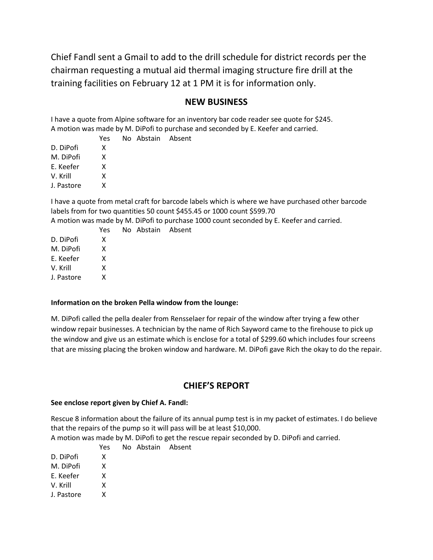Chief Fandl sent a Gmail to add to the drill schedule for district records per the chairman requesting a mutual aid thermal imaging structure fire drill at the training facilities on February 12 at 1 PM it is for information only.

## **NEW BUSINESS**

I have a quote from Alpine software for an inventory bar code reader see quote for \$245. A motion was made by M. DiPofi to purchase and seconded by E. Keefer and carried.

No Abstain Absent

|            | Υρς |
|------------|-----|
| D. DiPofi  | x   |
| M. DiPofi  | x   |
| F. Keefer  | x   |
| V. Krill   | x   |
| J. Pastore | x   |
|            |     |

I have a quote from metal craft for barcode labels which is where we have purchased other barcode labels from for two quantities 50 count \$455.45 or 1000 count \$599.70

A motion was made by M. DiPofi to purchase 1000 count seconded by E. Keefer and carried.

|            | Yes | No Abstain Absent |  |
|------------|-----|-------------------|--|
| D. DiPofi  | x   |                   |  |
| M. DiPofi  | x   |                   |  |
| E. Keefer  | x   |                   |  |
| V. Krill   | x   |                   |  |
| J. Pastore | x   |                   |  |
|            |     |                   |  |

# **Information on the broken Pella window from the lounge:**

M. DiPofi called the pella dealer from Rensselaer for repair of the window after trying a few other window repair businesses. A technician by the name of Rich Sayword came to the firehouse to pick up the window and give us an estimate which is enclose for a total of \$299.60 which includes four screens that are missing placing the broken window and hardware. M. DiPofi gave Rich the okay to do the repair.

## **CHIEF'S REPORT**

#### **See enclose report given by Chief A. Fandl:**

Rescue 8 information about the failure of its annual pump test is in my packet of estimates. I do believe that the repairs of the pump so it will pass will be at least \$10,000.

A motion was made by M. DiPofi to get the rescue repair seconded by D. DiPofi and carried.

D. DiPofi X

M. DiPofi X

E. Keefer X

V. Krill X

J. Pastore X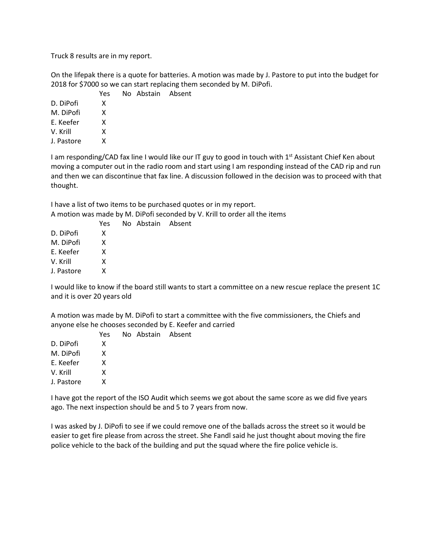Truck 8 results are in my report.

On the lifepak there is a quote for batteries. A motion was made by J. Pastore to put into the budget for 2018 for \$7000 so we can start replacing them seconded by M. DiPofi.

|            | Yes |
|------------|-----|
| D. DiPofi  | x   |
| M. DiPofi  | x   |
| F. Keefer  | x   |
| V. Krill   | x   |
| J. Pastore | x   |
|            |     |

I am responding/CAD fax line I would like our IT guy to good in touch with 1<sup>st</sup> Assistant Chief Ken about moving a computer out in the radio room and start using I am responding instead of the CAD rip and run and then we can discontinue that fax line. A discussion followed in the decision was to proceed with that thought.

I have a list of two items to be purchased quotes or in my report. A motion was made by M. DiPofi seconded by V. Krill to order all the items

No Abstain Absent

No Abstain Absent

|            | Yes |
|------------|-----|
| D. DiPofi  | x   |
| M. DiPofi  | x   |
| E. Keefer  | x   |
| V. Krill   | x   |
| J. Pastore | x   |

I would like to know if the board still wants to start a committee on a new rescue replace the present 1C and it is over 20 years old

A motion was made by M. DiPofi to start a committee with the five commissioners, the Chiefs and anyone else he chooses seconded by E. Keefer and carried

|            | Yes | No Abstain Absent |  |
|------------|-----|-------------------|--|
| D. DiPofi  | x   |                   |  |
| M. DiPofi  | x   |                   |  |
| E. Keefer  | x   |                   |  |
| V. Krill   | x   |                   |  |
| J. Pastore | x   |                   |  |
|            |     |                   |  |

I have got the report of the ISO Audit which seems we got about the same score as we did five years ago. The next inspection should be and 5 to 7 years from now.

I was asked by J. DiPofi to see if we could remove one of the ballads across the street so it would be easier to get fire please from across the street. She Fandl said he just thought about moving the fire police vehicle to the back of the building and put the squad where the fire police vehicle is.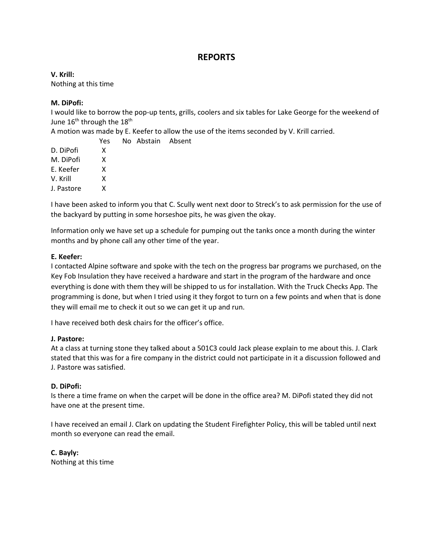# **REPORTS**

**V. Krill:** Nothing at this time

### **M. DiPofi:**

I would like to borrow the pop-up tents, grills, coolers and six tables for Lake George for the weekend of June  $16<sup>th</sup>$  through the  $18<sup>th</sup>$ 

A motion was made by E. Keefer to allow the use of the items seconded by V. Krill carried.

Absent

|            | Yes | No Abstain |
|------------|-----|------------|
| D. DiPofi  | x   |            |
| M. DiPofi  | x   |            |
| E. Keefer  | x   |            |
| V. Krill   | x   |            |
| J. Pastore | x   |            |
|            |     |            |

I have been asked to inform you that C. Scully went next door to Streck's to ask permission for the use of the backyard by putting in some horseshoe pits, he was given the okay.

Information only we have set up a schedule for pumping out the tanks once a month during the winter months and by phone call any other time of the year.

### **E. Keefer:**

I contacted Alpine software and spoke with the tech on the progress bar programs we purchased, on the Key Fob Insulation they have received a hardware and start in the program of the hardware and once everything is done with them they will be shipped to us for installation. With the Truck Checks App. The programming is done, but when I tried using it they forgot to turn on a few points and when that is done they will email me to check it out so we can get it up and run.

I have received both desk chairs for the officer's office.

### **J. Pastore:**

At a class at turning stone they talked about a 501C3 could Jack please explain to me about this. J. Clark stated that this was for a fire company in the district could not participate in it a discussion followed and J. Pastore was satisfied.

### **D. DiPofi:**

Is there a time frame on when the carpet will be done in the office area? M. DiPofi stated they did not have one at the present time.

I have received an email J. Clark on updating the Student Firefighter Policy, this will be tabled until next month so everyone can read the email.

**C. Bayly:** Nothing at this time